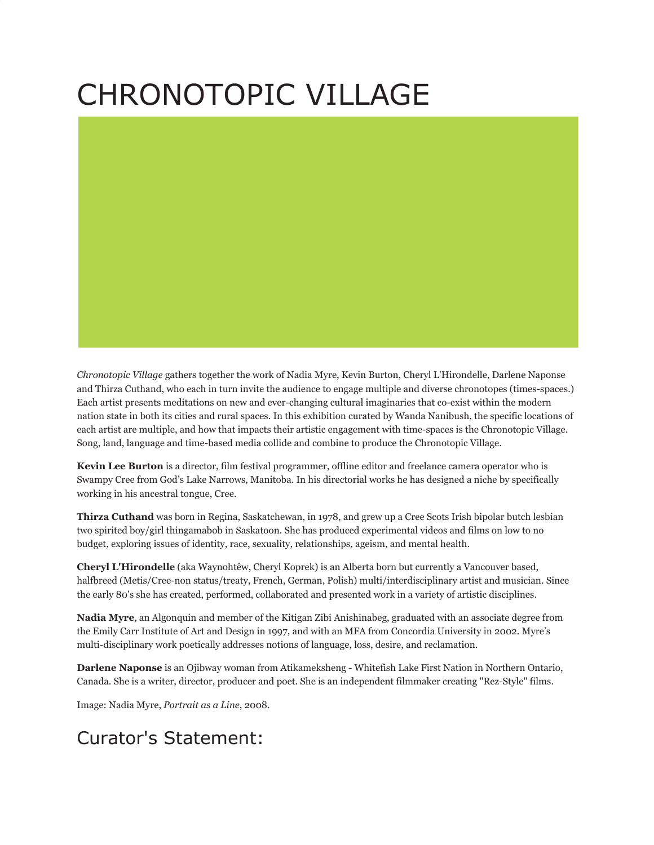## CHRONOTOPIC VILLAGE

*Chronotopic Village* gathers together the work of Nadia Myre, Kevin Burton, Cheryl L'Hirondelle, Darlene Naponse and Thirza Cuthand, who each in turn invite the audience to engage multiple and diverse chronotopes (times-spaces.) Each artist presents meditations on new and ever-changing cultural imaginaries that co-exist within the modern nation state in both its cities and rural spaces. In this exhibition curated by Wanda Nanibush, the specific locations of each artist are multiple, and how that impacts their artistic engagement with time-spaces is the Chronotopic Village. Song, land, language and time-based media collide and combine to produce the Chronotopic Village.

**Kevin Lee Burton** is a director, film festival programmer, offline editor and freelance camera operator who is Swampy Cree from God's Lake Narrows, Manitoba. In his directorial works he has designed a niche by specifically working in his ancestral tongue, Cree.

**Thirza Cuthand** was born in Regina, Saskatchewan, in 1978, and grew up a Cree Scots Irish bipolar butch lesbian two spirited boy/girl thingamabob in Saskatoon. She has produced experimental videos and films on low to no budget, exploring issues of identity, race, sexuality, relationships, ageism, and mental health.

**Cheryl L'Hirondelle** (aka Waynohtêw, Cheryl Koprek) is an Alberta born but currently a Vancouver based, halfbreed (Metis/Cree-non status/treaty, French, German, Polish) multi/interdisciplinary artist and musician. Since the early 80's she has created, performed, collaborated and presented work in a variety of artistic disciplines.

**Nadia Myre**, an Algonquin and member of the Kitigan Zibi Anishinabeg, graduated with an associate degree from the Emily Carr Institute of Art and Design in 1997, and with an MFA from Concordia University in 2002. Myre's multi-disciplinary work poetically addresses notions of language, loss, desire, and reclamation.

**Darlene Naponse** is an Ojibway woman from Atikameksheng - Whitefish Lake First Nation in Northern Ontario, Canada. She is a writer, director, producer and poet. She is an independent filmmaker creating "Rez-Style" films.

Image: Nadia Myre, *Portrait as a Line*, 2008.

## Curator's Statement: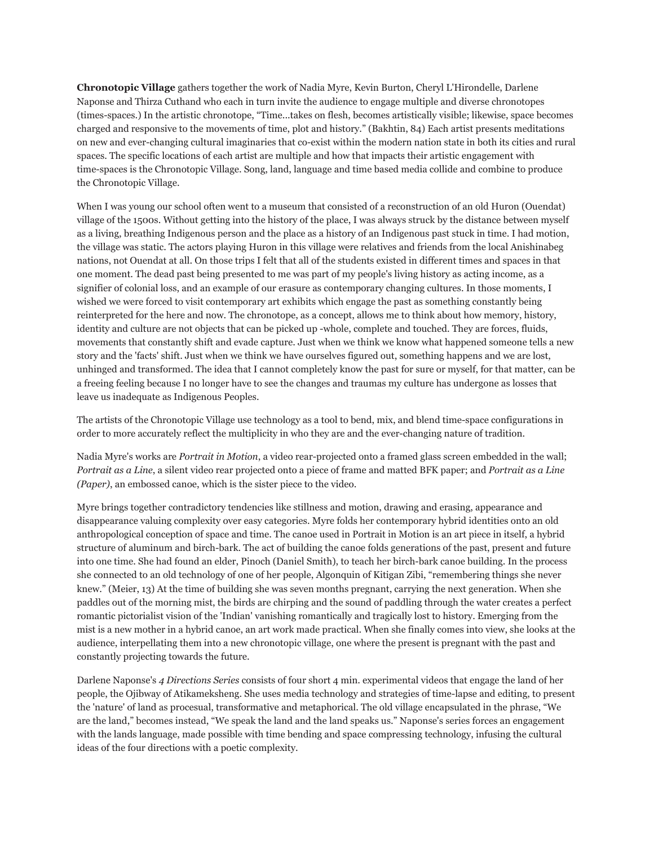**Chronotopic Village** gathers together the work of Nadia Myre, Kevin Burton, Cheryl L'Hirondelle, Darlene Naponse and Thirza Cuthand who each in turn invite the audience to engage multiple and diverse chronotopes (times-spaces.) In the artistic chronotope, "Time...takes on flesh, becomes artistically visible; likewise, space becomes charged and responsive to the movements of time, plot and history." (Bakhtin, 84) Each artist presents meditations on new and ever-changing cultural imaginaries that co-exist within the modern nation state in both its cities and rural spaces. The specific locations of each artist are multiple and how that impacts their artistic engagement with time-spaces is the Chronotopic Village. Song, land, language and time based media collide and combine to produce the Chronotopic Village.

When I was young our school often went to a museum that consisted of a reconstruction of an old Huron (Ouendat) village of the 1500s. Without getting into the history of the place, I was always struck by the distance between myself as a living, breathing Indigenous person and the place as a history of an Indigenous past stuck in time. I had motion, the village was static. The actors playing Huron in this village were relatives and friends from the local Anishinabeg nations, not Ouendat at all. On those trips I felt that all of the students existed in different times and spaces in that one moment. The dead past being presented to me was part of my people's living history as acting income, as a signifier of colonial loss, and an example of our erasure as contemporary changing cultures. In those moments, I wished we were forced to visit contemporary art exhibits which engage the past as something constantly being reinterpreted for the here and now. The chronotope, as a concept, allows me to think about how memory, history, identity and culture are not objects that can be picked up -whole, complete and touched. They are forces, fluids, movements that constantly shift and evade capture. Just when we think we know what happened someone tells a new story and the 'facts' shift. Just when we think we have ourselves figured out, something happens and we are lost, unhinged and transformed. The idea that I cannot completely know the past for sure or myself, for that matter, can be a freeing feeling because I no longer have to see the changes and traumas my culture has undergone as losses that leave us inadequate as Indigenous Peoples.

The artists of the Chronotopic Village use technology as a tool to bend, mix, and blend time-space configurations in order to more accurately reflect the multiplicity in who they are and the ever-changing nature of tradition.

Nadia Myre's works are *Portrait in Motion*, a video rear-projected onto a framed glass screen embedded in the wall; *Portrait as a Line*, a silent video rear projected onto a piece of frame and matted BFK paper; and *Portrait as a Line (Paper)*, an embossed canoe, which is the sister piece to the video.

Myre brings together contradictory tendencies like stillness and motion, drawing and erasing, appearance and disappearance valuing complexity over easy categories. Myre folds her contemporary hybrid identities onto an old anthropological conception of space and time. The canoe used in Portrait in Motion is an art piece in itself, a hybrid structure of aluminum and birch-bark. The act of building the canoe folds generations of the past, present and future into one time. She had found an elder, Pinoch (Daniel Smith), to teach her birch-bark canoe building. In the process she connected to an old technology of one of her people, Algonquin of Kitigan Zibi, "remembering things she never knew." (Meier, 13) At the time of building she was seven months pregnant, carrying the next generation. When she paddles out of the morning mist, the birds are chirping and the sound of paddling through the water creates a perfect romantic pictorialist vision of the 'Indian' vanishing romantically and tragically lost to history. Emerging from the mist is a new mother in a hybrid canoe, an art work made practical. When she finally comes into view, she looks at the audience, interpellating them into a new chronotopic village, one where the present is pregnant with the past and constantly projecting towards the future.

Darlene Naponse's *4 Directions Series* consists of four short 4 min. experimental videos that engage the land of her people, the Ojibway of Atikameksheng. She uses media technology and strategies of time-lapse and editing, to present the 'nature' of land as procesual, transformative and metaphorical. The old village encapsulated in the phrase, "We are the land," becomes instead, "We speak the land and the land speaks us." Naponse's series forces an engagement with the lands language, made possible with time bending and space compressing technology, infusing the cultural ideas of the four directions with a poetic complexity.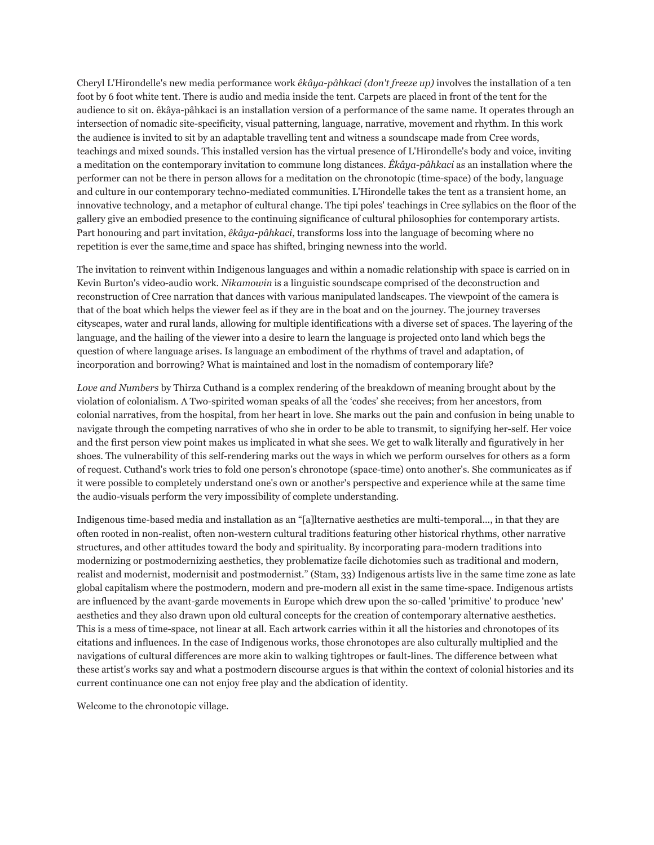Cheryl L'Hirondelle's new media performance work *êkâya-pâhkaci (don't freeze up)* involves the installation of a ten foot by 6 foot white tent. There is audio and media inside the tent. Carpets are placed in front of the tent for the audience to sit on. êkâya-pâhkaci is an installation version of a performance of the same name. It operates through an intersection of nomadic site-specificity, visual patterning, language, narrative, movement and rhythm. In this work the audience is invited to sit by an adaptable travelling tent and witness a soundscape made from Cree words, teachings and mixed sounds. This installed version has the virtual presence of L'Hirondelle's body and voice, inviting a meditation on the contemporary invitation to commune long distances. *Êkâya-pâhkaci* as an installation where the performer can not be there in person allows for a meditation on the chronotopic (time-space) of the body, language and culture in our contemporary techno-mediated communities. L'Hirondelle takes the tent as a transient home, an innovative technology, and a metaphor of cultural change. The tipi poles' teachings in Cree syllabics on the floor of the gallery give an embodied presence to the continuing significance of cultural philosophies for contemporary artists. Part honouring and part invitation, *êkâya-pâhkaci*, transforms loss into the language of becoming where no repetition is ever the same,time and space has shifted, bringing newness into the world.

The invitation to reinvent within Indigenous languages and within a nomadic relationship with space is carried on in Kevin Burton's video-audio work. *Nikamowin* is a linguistic soundscape comprised of the deconstruction and reconstruction of Cree narration that dances with various manipulated landscapes. The viewpoint of the camera is that of the boat which helps the viewer feel as if they are in the boat and on the journey. The journey traverses cityscapes, water and rural lands, allowing for multiple identifications with a diverse set of spaces. The layering of the language, and the hailing of the viewer into a desire to learn the language is projected onto land which begs the question of where language arises. Is language an embodiment of the rhythms of travel and adaptation, of incorporation and borrowing? What is maintained and lost in the nomadism of contemporary life?

*Love and Numbers* by Thirza Cuthand is a complex rendering of the breakdown of meaning brought about by the violation of colonialism. A Two-spirited woman speaks of all the 'codes' she receives; from her ancestors, from colonial narratives, from the hospital, from her heart in love. She marks out the pain and confusion in being unable to navigate through the competing narratives of who she in order to be able to transmit, to signifying her-self. Her voice and the first person view point makes us implicated in what she sees. We get to walk literally and figuratively in her shoes. The vulnerability of this self-rendering marks out the ways in which we perform ourselves for others as a form of request. Cuthand's work tries to fold one person's chronotope (space-time) onto another's. She communicates as if it were possible to completely understand one's own or another's perspective and experience while at the same time the audio-visuals perform the very impossibility of complete understanding.

Indigenous time-based media and installation as an "[a]lternative aesthetics are multi-temporal..., in that they are often rooted in non-realist, often non-western cultural traditions featuring other historical rhythms, other narrative structures, and other attitudes toward the body and spirituality. By incorporating para-modern traditions into modernizing or postmodernizing aesthetics, they problematize facile dichotomies such as traditional and modern, realist and modernist, modernisit and postmodernist." (Stam, 33) Indigenous artists live in the same time zone as late global capitalism where the postmodern, modern and pre-modern all exist in the same time-space. Indigenous artists are influenced by the avant-garde movements in Europe which drew upon the so-called 'primitive' to produce 'new' aesthetics and they also drawn upon old cultural concepts for the creation of contemporary alternative aesthetics. This is a mess of time-space, not linear at all. Each artwork carries within it all the histories and chronotopes of its citations and influences. In the case of Indigenous works, those chronotopes are also culturally multiplied and the navigations of cultural differences are more akin to walking tightropes or fault-lines. The difference between what these artist's works say and what a postmodern discourse argues is that within the context of colonial histories and its current continuance one can not enjoy free play and the abdication of identity.

Welcome to the chronotopic village.